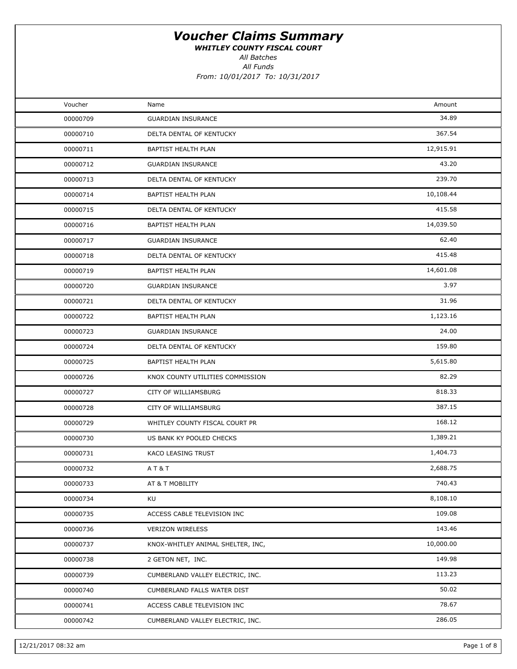WHITLEY COUNTY FISCAL COURT

All Batches

| Voucher  | Name                              | Amount    |  |
|----------|-----------------------------------|-----------|--|
| 00000709 | <b>GUARDIAN INSURANCE</b>         | 34.89     |  |
| 00000710 | DELTA DENTAL OF KENTUCKY          | 367.54    |  |
| 00000711 | BAPTIST HEALTH PLAN               | 12,915.91 |  |
| 00000712 | <b>GUARDIAN INSURANCE</b>         | 43.20     |  |
| 00000713 | DELTA DENTAL OF KENTUCKY          | 239.70    |  |
| 00000714 | BAPTIST HEALTH PLAN               | 10,108.44 |  |
| 00000715 | DELTA DENTAL OF KENTUCKY          | 415.58    |  |
| 00000716 | BAPTIST HEALTH PLAN               | 14,039.50 |  |
| 00000717 | <b>GUARDIAN INSURANCE</b>         | 62.40     |  |
| 00000718 | DELTA DENTAL OF KENTUCKY          | 415.48    |  |
| 00000719 | BAPTIST HEALTH PLAN               | 14,601.08 |  |
| 00000720 | <b>GUARDIAN INSURANCE</b>         | 3.97      |  |
| 00000721 | DELTA DENTAL OF KENTUCKY          | 31.96     |  |
| 00000722 | <b>BAPTIST HEALTH PLAN</b>        | 1,123.16  |  |
| 00000723 | <b>GUARDIAN INSURANCE</b>         | 24.00     |  |
| 00000724 | DELTA DENTAL OF KENTUCKY          | 159.80    |  |
| 00000725 | BAPTIST HEALTH PLAN               | 5,615.80  |  |
| 00000726 | KNOX COUNTY UTILITIES COMMISSION  | 82.29     |  |
| 00000727 | CITY OF WILLIAMSBURG              | 818.33    |  |
| 00000728 | CITY OF WILLIAMSBURG              | 387.15    |  |
| 00000729 | WHITLEY COUNTY FISCAL COURT PR    | 168.12    |  |
| 00000730 | US BANK KY POOLED CHECKS          | 1,389.21  |  |
| 00000731 | KACO LEASING TRUST                | 1,404.73  |  |
| 00000732 | <b>AT&amp;T</b>                   | 2,688.75  |  |
| 00000733 | AT & T MOBILITY                   | 740.43    |  |
| 00000734 | KU                                | 8,108.10  |  |
| 00000735 | ACCESS CABLE TELEVISION INC       | 109.08    |  |
| 00000736 | <b>VERIZON WIRELESS</b>           | 143.46    |  |
| 00000737 | KNOX-WHITLEY ANIMAL SHELTER, INC, | 10,000.00 |  |
| 00000738 | 2 GETON NET, INC.                 | 149.98    |  |
| 00000739 | CUMBERLAND VALLEY ELECTRIC, INC.  | 113.23    |  |
| 00000740 | CUMBERLAND FALLS WATER DIST       | 50.02     |  |
| 00000741 | ACCESS CABLE TELEVISION INC       | 78.67     |  |
| 00000742 | CUMBERLAND VALLEY ELECTRIC, INC.  | 286.05    |  |
|          |                                   |           |  |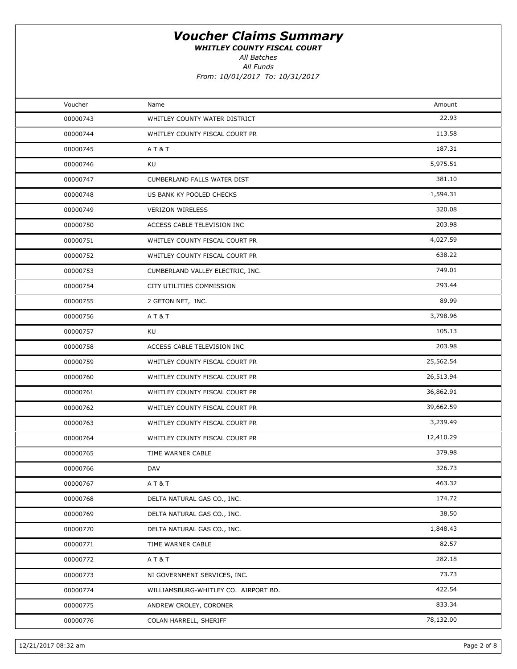WHITLEY COUNTY FISCAL COURT

All Batches

All Funds

From: 10/01/2017 To: 10/31/2017

| Voucher  | Name                                 | Amount    |  |
|----------|--------------------------------------|-----------|--|
| 00000743 | WHITLEY COUNTY WATER DISTRICT        | 22.93     |  |
| 00000744 | WHITLEY COUNTY FISCAL COURT PR       | 113.58    |  |
| 00000745 | AT&T                                 | 187.31    |  |
| 00000746 | KU                                   | 5,975.51  |  |
| 00000747 | CUMBERLAND FALLS WATER DIST          | 381.10    |  |
| 00000748 | US BANK KY POOLED CHECKS             | 1,594.31  |  |
| 00000749 | <b>VERIZON WIRELESS</b>              | 320.08    |  |
| 00000750 | ACCESS CABLE TELEVISION INC          | 203.98    |  |
| 00000751 | WHITLEY COUNTY FISCAL COURT PR       | 4,027.59  |  |
| 00000752 | WHITLEY COUNTY FISCAL COURT PR       | 638.22    |  |
| 00000753 | CUMBERLAND VALLEY ELECTRIC, INC.     | 749.01    |  |
| 00000754 | CITY UTILITIES COMMISSION            | 293.44    |  |
| 00000755 | 2 GETON NET, INC.                    | 89.99     |  |
| 00000756 | AT&T                                 | 3,798.96  |  |
| 00000757 | KU                                   | 105.13    |  |
| 00000758 | ACCESS CABLE TELEVISION INC          | 203.98    |  |
| 00000759 | WHITLEY COUNTY FISCAL COURT PR       | 25,562.54 |  |
| 00000760 | WHITLEY COUNTY FISCAL COURT PR       | 26,513.94 |  |
| 00000761 | WHITLEY COUNTY FISCAL COURT PR       | 36,862.91 |  |
| 00000762 | WHITLEY COUNTY FISCAL COURT PR       | 39,662.59 |  |
| 00000763 | WHITLEY COUNTY FISCAL COURT PR       | 3,239.49  |  |
| 00000764 | WHITLEY COUNTY FISCAL COURT PR       | 12,410.29 |  |
| 00000765 | TIME WARNER CABLE                    | 379.98    |  |
| 00000766 | DAV                                  | 326.73    |  |
| 00000767 | AT&T                                 | 463.32    |  |
| 00000768 | DELTA NATURAL GAS CO., INC.          | 174.72    |  |
| 00000769 | DELTA NATURAL GAS CO., INC.          | 38.50     |  |
| 00000770 | DELTA NATURAL GAS CO., INC.          | 1,848.43  |  |
| 00000771 | TIME WARNER CABLE                    | 82.57     |  |
| 00000772 | AT&T                                 | 282.18    |  |
| 00000773 | NI GOVERNMENT SERVICES, INC.         | 73.73     |  |
| 00000774 | WILLIAMSBURG-WHITLEY CO. AIRPORT BD. | 422.54    |  |
| 00000775 | ANDREW CROLEY, CORONER               | 833.34    |  |
| 00000776 | COLAN HARRELL, SHERIFF               | 78,132.00 |  |
|          |                                      |           |  |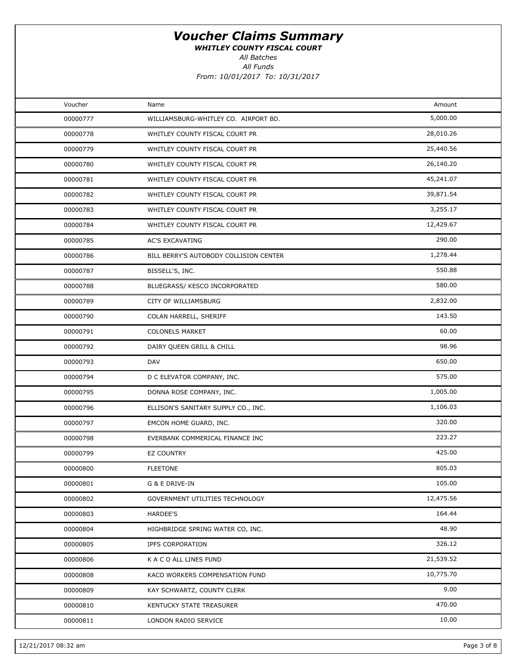WHITLEY COUNTY FISCAL COURT

All Batches

| Voucher  | Name                                   | Amount    |
|----------|----------------------------------------|-----------|
| 00000777 | WILLIAMSBURG-WHITLEY CO. AIRPORT BD.   | 5,000.00  |
| 00000778 | WHITLEY COUNTY FISCAL COURT PR         | 28,010.26 |
| 00000779 | WHITLEY COUNTY FISCAL COURT PR         | 25,440.56 |
| 00000780 | WHITLEY COUNTY FISCAL COURT PR         | 26,140.20 |
| 00000781 | WHITLEY COUNTY FISCAL COURT PR         | 45,241.07 |
| 00000782 | WHITLEY COUNTY FISCAL COURT PR         | 39,871.54 |
| 00000783 | WHITLEY COUNTY FISCAL COURT PR         | 3,255.17  |
| 00000784 | WHITLEY COUNTY FISCAL COURT PR         | 12,429.67 |
| 00000785 | <b>AC'S EXCAVATING</b>                 | 290.00    |
| 00000786 | BILL BERRY'S AUTOBODY COLLISION CENTER | 1,278.44  |
| 00000787 | BISSELL'S, INC.                        | 550.88    |
| 00000788 | BLUEGRASS/ KESCO INCORPORATED          | 580.00    |
| 00000789 | CITY OF WILLIAMSBURG                   | 2,832.00  |
| 00000790 | COLAN HARRELL, SHERIFF                 | 143.50    |
| 00000791 | <b>COLONELS MARKET</b>                 | 60.00     |
| 00000792 | DAIRY QUEEN GRILL & CHILL              | 98.96     |
| 00000793 | DAV                                    | 650.00    |
| 00000794 | D C ELEVATOR COMPANY, INC.             | 575.00    |
| 00000795 | DONNA ROSE COMPANY, INC.               | 1,005.00  |
| 00000796 | ELLISON'S SANITARY SUPPLY CO., INC.    | 1,106.03  |
| 00000797 | EMCON HOME GUARD, INC.                 | 320.00    |
| 00000798 | EVERBANK COMMERICAL FINANCE INC        | 223.27    |
| 00000799 | <b>EZ COUNTRY</b>                      | 425.00    |
| 00000800 | <b>FLEETONE</b>                        | 805.03    |
| 00000801 | G & E DRIVE-IN                         | 105.00    |
| 00000802 | GOVERNMENT UTILITIES TECHNOLOGY        | 12,475.56 |
| 00000803 | <b>HARDEE'S</b>                        | 164.44    |
| 00000804 | HIGHBRIDGE SPRING WATER CO, INC.       | 48.90     |
| 00000805 | <b>IPFS CORPORATION</b>                | 326.12    |
| 00000806 | K A C O ALL LINES FUND                 | 21,539.52 |
| 00000808 | KACO WORKERS COMPENSATION FUND         | 10,775.70 |
| 00000809 | KAY SCHWARTZ, COUNTY CLERK             | 9.00      |
| 00000810 | KENTUCKY STATE TREASURER               | 470.00    |
| 00000811 | LONDON RADIO SERVICE                   | 10.00     |
|          |                                        |           |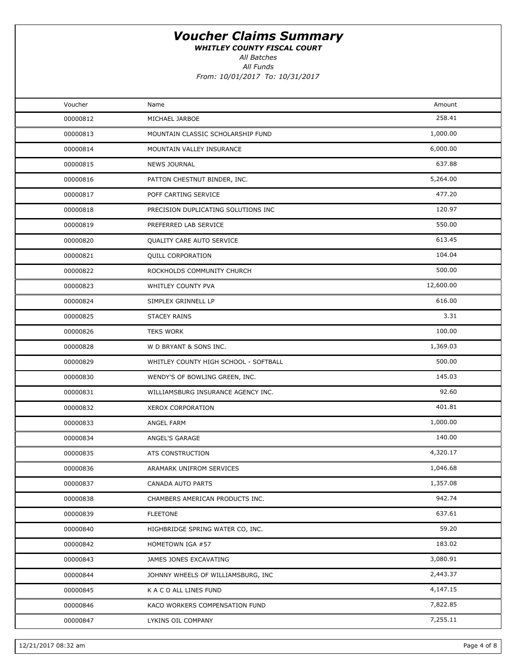WHITLEY COUNTY FISCAL COURT

All Batches

| Voucher  | Name                                  | Amount    |
|----------|---------------------------------------|-----------|
| 00000812 | MICHAEL JARBOE                        | 258.41    |
| 00000813 | MOUNTAIN CLASSIC SCHOLARSHIP FUND     | 1,000.00  |
| 00000814 | MOUNTAIN VALLEY INSURANCE             | 6,000.00  |
| 00000815 | <b>NEWS JOURNAL</b>                   | 637.88    |
| 00000816 | PATTON CHESTNUT BINDER, INC.          | 5,264.00  |
| 00000817 | POFF CARTING SERVICE                  | 477.20    |
| 00000818 | PRECISION DUPLICATING SOLUTIONS INC   | 120.97    |
| 00000819 | PREFERRED LAB SERVICE                 | 550.00    |
| 00000820 | QUALITY CARE AUTO SERVICE             | 613.45    |
| 00000821 | <b>QUILL CORPORATION</b>              | 104.04    |
| 00000822 | ROCKHOLDS COMMUNITY CHURCH            | 500.00    |
| 00000823 | WHITLEY COUNTY PVA                    | 12,600.00 |
| 00000824 | SIMPLEX GRINNELL LP                   | 616.00    |
| 00000825 | <b>STACEY RAINS</b>                   | 3.31      |
| 00000826 | <b>TEKS WORK</b>                      | 100.00    |
| 00000828 | W D BRYANT & SONS INC.                | 1,369.03  |
| 00000829 | WHITLEY COUNTY HIGH SCHOOL - SOFTBALL | 500.00    |
| 00000830 | WENDY'S OF BOWLING GREEN, INC.        | 145.03    |
| 00000831 | WILLIAMSBURG INSURANCE AGENCY INC.    | 92.60     |
| 00000832 | XEROX CORPORATION                     | 401.81    |
| 00000833 | ANGEL FARM                            | 1,000.00  |
| 00000834 | ANGEL'S GARAGE                        | 140.00    |
| 00000835 | ATS CONSTRUCTION                      | 4,320.17  |
| 00000836 | ARAMARK UNIFROM SERVICES              | 1,046.68  |
| 00000837 | CANADA AUTO PARTS                     | 1,357.08  |
| 00000838 | CHAMBERS AMERICAN PRODUCTS INC.       | 942.74    |
| 00000839 | <b>FLEETONE</b>                       | 637.61    |
| 00000840 | HIGHBRIDGE SPRING WATER CO, INC.      | 59.20     |
| 00000842 | HOMETOWN IGA #57                      | 183.02    |
| 00000843 | JAMES JONES EXCAVATING                | 3,080.91  |
| 00000844 | JOHNNY WHEELS OF WILLIAMSBURG, INC    | 2,443.37  |
| 00000845 | K A C O ALL LINES FUND                | 4,147.15  |
| 00000846 | KACO WORKERS COMPENSATION FUND        | 7,822.85  |
| 00000847 | LYKINS OIL COMPANY                    | 7,255.11  |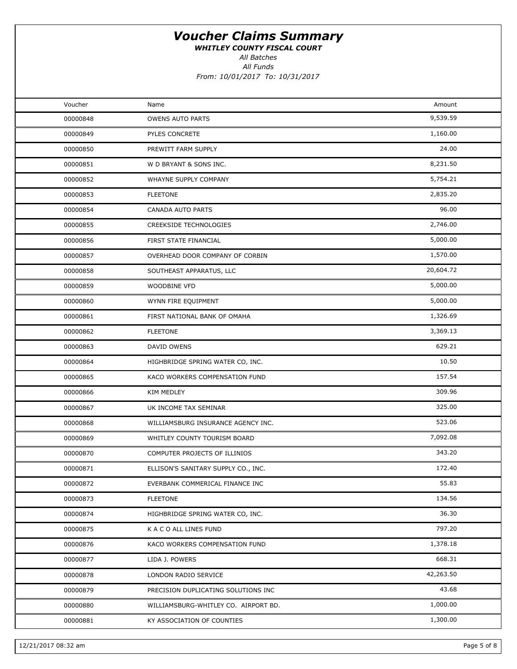WHITLEY COUNTY FISCAL COURT

All Funds All Batches

From: 10/01/2017 To: 10/31/2017

| Voucher  | Name                                 | Amount    |  |
|----------|--------------------------------------|-----------|--|
| 00000848 | OWENS AUTO PARTS                     | 9,539.59  |  |
| 00000849 | PYLES CONCRETE                       | 1,160.00  |  |
| 00000850 | PREWITT FARM SUPPLY                  | 24.00     |  |
| 00000851 | W D BRYANT & SONS INC.               | 8,231.50  |  |
| 00000852 | WHAYNE SUPPLY COMPANY                | 5,754.21  |  |
| 00000853 | <b>FLEETONE</b>                      | 2,835.20  |  |
| 00000854 | CANADA AUTO PARTS                    | 96.00     |  |
| 00000855 | <b>CREEKSIDE TECHNOLOGIES</b>        | 2,746.00  |  |
| 00000856 | FIRST STATE FINANCIAL                | 5,000.00  |  |
| 00000857 | OVERHEAD DOOR COMPANY OF CORBIN      | 1,570.00  |  |
| 00000858 | SOUTHEAST APPARATUS, LLC             | 20,604.72 |  |
| 00000859 | <b>WOODBINE VFD</b>                  | 5,000.00  |  |
| 00000860 | WYNN FIRE EQUIPMENT                  | 5,000.00  |  |
| 00000861 | FIRST NATIONAL BANK OF OMAHA         | 1,326.69  |  |
| 00000862 | <b>FLEETONE</b>                      | 3,369.13  |  |
| 00000863 | DAVID OWENS                          | 629.21    |  |
| 00000864 | HIGHBRIDGE SPRING WATER CO, INC.     | 10.50     |  |
| 00000865 | KACO WORKERS COMPENSATION FUND       | 157.54    |  |
| 00000866 | KIM MEDLEY                           | 309.96    |  |
| 00000867 | UK INCOME TAX SEMINAR                | 325.00    |  |
| 00000868 | WILLIAMSBURG INSURANCE AGENCY INC.   | 523.06    |  |
| 00000869 | WHITLEY COUNTY TOURISM BOARD         | 7,092.08  |  |
| 00000870 | COMPUTER PROJECTS OF ILLINIOS        | 343.20    |  |
| 00000871 | ELLISON'S SANITARY SUPPLY CO., INC.  | 172.40    |  |
| 00000872 | EVERBANK COMMERICAL FINANCE INC      | 55.83     |  |
| 00000873 | <b>FLEETONE</b>                      | 134.56    |  |
| 00000874 | HIGHBRIDGE SPRING WATER CO, INC.     | 36.30     |  |
| 00000875 | K A C O ALL LINES FUND               | 797.20    |  |
| 00000876 | KACO WORKERS COMPENSATION FUND       | 1,378.18  |  |
| 00000877 | LIDA J. POWERS                       | 668.31    |  |
| 00000878 | LONDON RADIO SERVICE                 | 42,263.50 |  |
| 00000879 | PRECISION DUPLICATING SOLUTIONS INC  | 43.68     |  |
| 00000880 | WILLIAMSBURG-WHITLEY CO. AIRPORT BD. | 1,000.00  |  |
| 00000881 | KY ASSOCIATION OF COUNTIES           | 1,300.00  |  |
|          |                                      |           |  |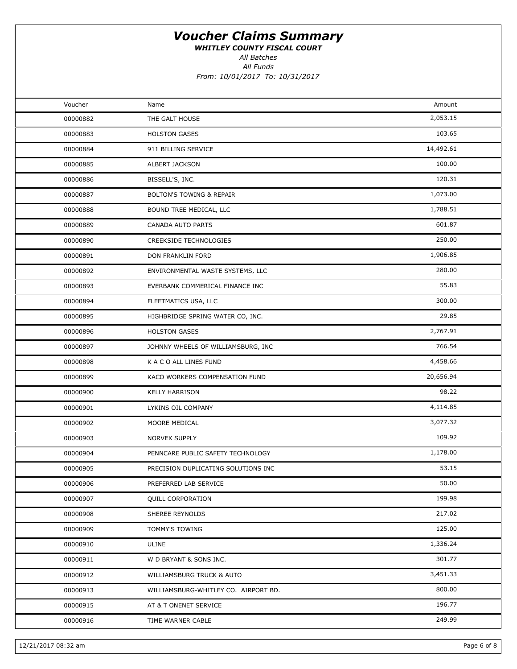WHITLEY COUNTY FISCAL COURT

All Funds All Batches

From: 10/01/2017 To: 10/31/2017

| Voucher  | Name                                 | Amount    |  |
|----------|--------------------------------------|-----------|--|
| 00000882 | THE GALT HOUSE                       | 2,053.15  |  |
| 00000883 | <b>HOLSTON GASES</b>                 | 103.65    |  |
| 00000884 | 911 BILLING SERVICE                  | 14,492.61 |  |
| 00000885 | ALBERT JACKSON                       | 100.00    |  |
| 00000886 | BISSELL'S, INC.                      | 120.31    |  |
| 00000887 | <b>BOLTON'S TOWING &amp; REPAIR</b>  | 1,073.00  |  |
| 00000888 | BOUND TREE MEDICAL, LLC              | 1,788.51  |  |
| 00000889 | CANADA AUTO PARTS                    | 601.87    |  |
| 00000890 | <b>CREEKSIDE TECHNOLOGIES</b>        | 250.00    |  |
| 00000891 | DON FRANKLIN FORD                    | 1,906.85  |  |
| 00000892 | ENVIRONMENTAL WASTE SYSTEMS, LLC     | 280.00    |  |
| 00000893 | EVERBANK COMMERICAL FINANCE INC      | 55.83     |  |
| 00000894 | FLEETMATICS USA, LLC                 | 300.00    |  |
| 00000895 | HIGHBRIDGE SPRING WATER CO, INC.     | 29.85     |  |
| 00000896 | <b>HOLSTON GASES</b>                 | 2,767.91  |  |
| 00000897 | JOHNNY WHEELS OF WILLIAMSBURG, INC   | 766.54    |  |
| 00000898 | K A C O ALL LINES FUND               | 4,458.66  |  |
| 00000899 | KACO WORKERS COMPENSATION FUND       | 20,656.94 |  |
| 00000900 | <b>KELLY HARRISON</b>                | 98.22     |  |
| 00000901 | LYKINS OIL COMPANY                   | 4,114.85  |  |
| 00000902 | MOORE MEDICAL                        | 3,077.32  |  |
| 00000903 | NORVEX SUPPLY                        | 109.92    |  |
| 00000904 | PENNCARE PUBLIC SAFETY TECHNOLOGY    | 1,178.00  |  |
| 00000905 | PRECISION DUPLICATING SOLUTIONS INC  | 53.15     |  |
| 00000906 | PREFERRED LAB SERVICE                | 50.00     |  |
| 00000907 | <b>QUILL CORPORATION</b>             | 199.98    |  |
| 00000908 | SHEREE REYNOLDS                      | 217.02    |  |
| 00000909 | TOMMY'S TOWING                       | 125.00    |  |
| 00000910 | ULINE                                | 1,336.24  |  |
| 00000911 | W D BRYANT & SONS INC.               | 301.77    |  |
| 00000912 | WILLIAMSBURG TRUCK & AUTO            | 3,451.33  |  |
| 00000913 | WILLIAMSBURG-WHITLEY CO. AIRPORT BD. | 800.00    |  |
| 00000915 | AT & T ONENET SERVICE                | 196.77    |  |
| 00000916 | TIME WARNER CABLE                    | 249.99    |  |
|          |                                      |           |  |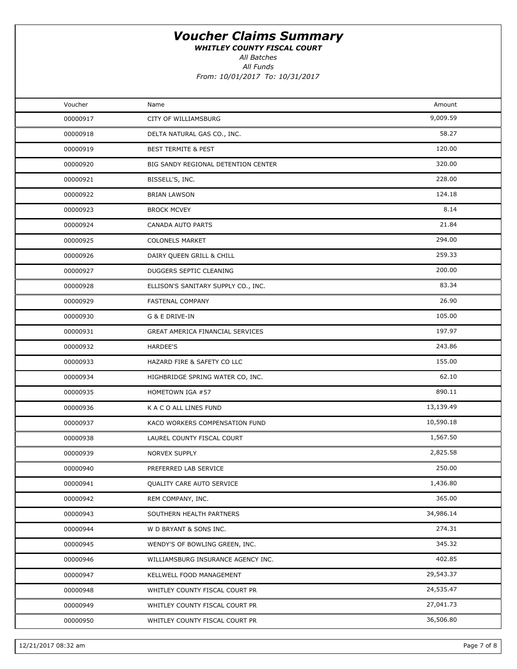WHITLEY COUNTY FISCAL COURT

All Batches

| Voucher  | Name                                | Amount    |  |
|----------|-------------------------------------|-----------|--|
| 00000917 | CITY OF WILLIAMSBURG                | 9,009.59  |  |
| 00000918 | DELTA NATURAL GAS CO., INC.         | 58.27     |  |
| 00000919 | <b>BEST TERMITE &amp; PEST</b>      | 120.00    |  |
| 00000920 | BIG SANDY REGIONAL DETENTION CENTER | 320.00    |  |
| 00000921 | BISSELL'S, INC.                     | 228.00    |  |
| 00000922 | <b>BRIAN LAWSON</b>                 | 124.18    |  |
| 00000923 | <b>BROCK MCVEY</b>                  | 8.14      |  |
| 00000924 | <b>CANADA AUTO PARTS</b>            | 21.84     |  |
| 00000925 | <b>COLONELS MARKET</b>              | 294.00    |  |
| 00000926 | DAIRY QUEEN GRILL & CHILL           | 259.33    |  |
| 00000927 | DUGGERS SEPTIC CLEANING             | 200.00    |  |
| 00000928 | ELLISON'S SANITARY SUPPLY CO., INC. | 83.34     |  |
| 00000929 | FASTENAL COMPANY                    | 26.90     |  |
| 00000930 | G & E DRIVE-IN                      | 105.00    |  |
| 00000931 | GREAT AMERICA FINANCIAL SERVICES    | 197.97    |  |
| 00000932 | <b>HARDEE'S</b>                     | 243.86    |  |
| 00000933 | HAZARD FIRE & SAFETY CO LLC         | 155.00    |  |
| 00000934 | HIGHBRIDGE SPRING WATER CO, INC.    | 62.10     |  |
| 00000935 | HOMETOWN IGA #57                    | 890.11    |  |
| 00000936 | K A C O ALL LINES FUND              | 13,139.49 |  |
| 00000937 | KACO WORKERS COMPENSATION FUND      | 10,590.18 |  |
| 00000938 | LAUREL COUNTY FISCAL COURT          | 1,567.50  |  |
| 00000939 | NORVEX SUPPLY                       | 2,825.58  |  |
| 00000940 | PREFERRED LAB SERVICE               | 250.00    |  |
| 00000941 | QUALITY CARE AUTO SERVICE           | 1,436.80  |  |
| 00000942 | REM COMPANY, INC.                   | 365.00    |  |
| 00000943 | SOUTHERN HEALTH PARTNERS            | 34,986.14 |  |
| 00000944 | W D BRYANT & SONS INC.              | 274.31    |  |
| 00000945 | WENDY'S OF BOWLING GREEN, INC.      | 345.32    |  |
| 00000946 | WILLIAMSBURG INSURANCE AGENCY INC.  | 402.85    |  |
| 00000947 | KELLWELL FOOD MANAGEMENT            | 29,543.37 |  |
| 00000948 | WHITLEY COUNTY FISCAL COURT PR      | 24,535.47 |  |
| 00000949 | WHITLEY COUNTY FISCAL COURT PR      | 27,041.73 |  |
| 00000950 | WHITLEY COUNTY FISCAL COURT PR      | 36,506.80 |  |
|          |                                     |           |  |